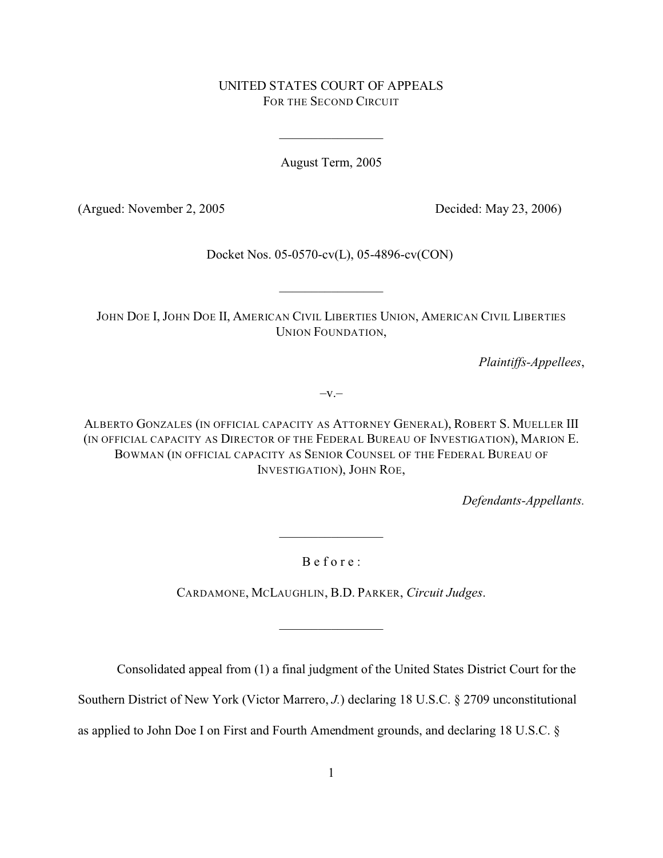# UNITED STATES COURT OF APPEALS FOR THE SECOND CIRCUIT

August Term, 2005

(Argued: November 2, 2005 Decided: May 23, 2006)

Docket Nos. 05-0570-cv(L), 05-4896-cv(CON)

 $\mathcal{L}_\text{max}$  , where  $\mathcal{L}_\text{max}$ 

JOHN DOE I, JOHN DOE II, AMERICAN CIVIL LIBERTIES UNION, AMERICAN CIVIL LIBERTIES UNION FOUNDATION,

*Plaintiffs-Appellees*,

 $-V.$ 

ALBERTO GONZALES (IN OFFICIAL CAPACITY AS ATTORNEY GENERAL), ROBERT S. MUELLER III (IN OFFICIAL CAPACITY AS DIRECTOR OF THE FEDERAL BUREAU OF INVESTIGATION), MARION E. BOWMAN (IN OFFICIAL CAPACITY AS SENIOR COUNSEL OF THE FEDERAL BUREAU OF INVESTIGATION), JOHN ROE,

*Defendants-Appellants.*

B e f o r e :

 $\mathcal{L}_\text{max}$  , where  $\mathcal{L}_\text{max}$ 

CARDAMONE, MCLAUGHLIN, B.D. PARKER, *Circuit Judges*.

 $\mathcal{L}_\text{max}$  , where  $\mathcal{L}_\text{max}$ 

Consolidated appeal from (1) a final judgment of the United States District Court for the

Southern District of New York (Victor Marrero, *J.*) declaring 18 U.S.C. § 2709 unconstitutional

as applied to John Doe I on First and Fourth Amendment grounds, and declaring 18 U.S.C. §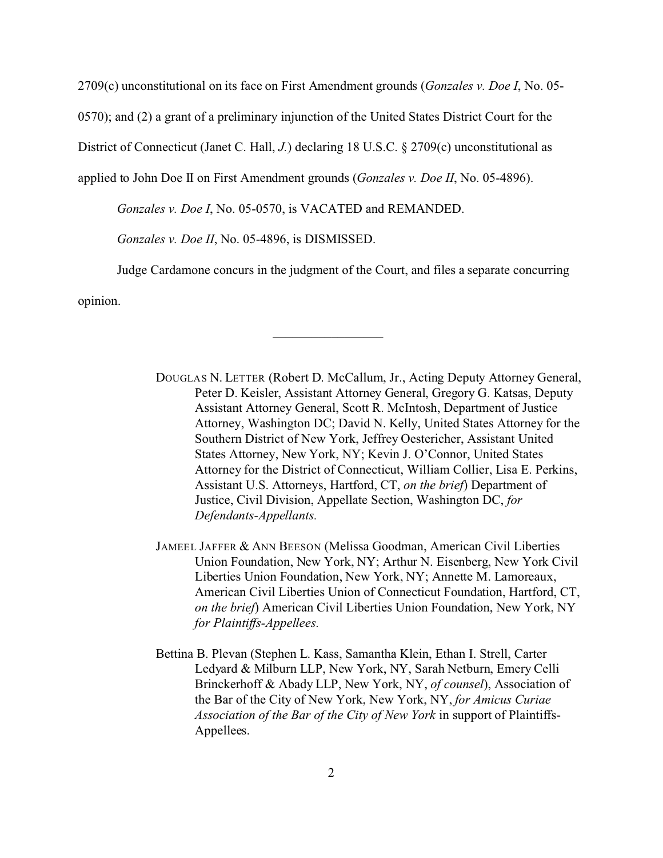2709(c) unconstitutional on its face on First Amendment grounds (*Gonzales v. Doe I*, No. 05-

0570); and (2) a grant of a preliminary injunction of the United States District Court for the

District of Connecticut (Janet C. Hall, *J.*) declaring 18 U.S.C. § 2709(c) unconstitutional as

applied to John Doe II on First Amendment grounds (*Gonzales v. Doe II*, No. 05-4896).

*Gonzales v. Doe I*, No. 05-0570, is VACATED and REMANDED.

*Gonzales v. Doe II*, No. 05-4896, is DISMISSED.

Judge Cardamone concurs in the judgment of the Court, and files a separate concurring

 $\mathcal{L}_\text{max}$  , where  $\mathcal{L}_\text{max}$ 

opinion.

DOUGLAS N. LETTER (Robert D. McCallum, Jr., Acting Deputy Attorney General, Peter D. Keisler, Assistant Attorney General, Gregory G. Katsas, Deputy Assistant Attorney General, Scott R. McIntosh, Department of Justice Attorney, Washington DC; David N. Kelly, United States Attorney for the Southern District of New York, Jeffrey Oestericher, Assistant United States Attorney, New York, NY; Kevin J. O'Connor, United States Attorney for the District of Connecticut, William Collier, Lisa E. Perkins, Assistant U.S. Attorneys, Hartford, CT, *on the brief*) Department of Justice, Civil Division, Appellate Section, Washington DC, *for Defendants-Appellants.*

JAMEEL JAFFER & ANN BEESON (Melissa Goodman, American Civil Liberties Union Foundation, New York, NY; Arthur N. Eisenberg, New York Civil Liberties Union Foundation, New York, NY; Annette M. Lamoreaux, American Civil Liberties Union of Connecticut Foundation, Hartford, CT, *on the brief*) American Civil Liberties Union Foundation, New York, NY *for Plaintiffs-Appellees.*

Bettina B. Plevan (Stephen L. Kass, Samantha Klein, Ethan I. Strell, Carter Ledyard & Milburn LLP, New York, NY, Sarah Netburn, Emery Celli Brinckerhoff & Abady LLP, New York, NY, *of counsel*), Association of the Bar of the City of New York, New York, NY, *for Amicus Curiae Association of the Bar of the City of New York* in support of Plaintiffs-Appellees.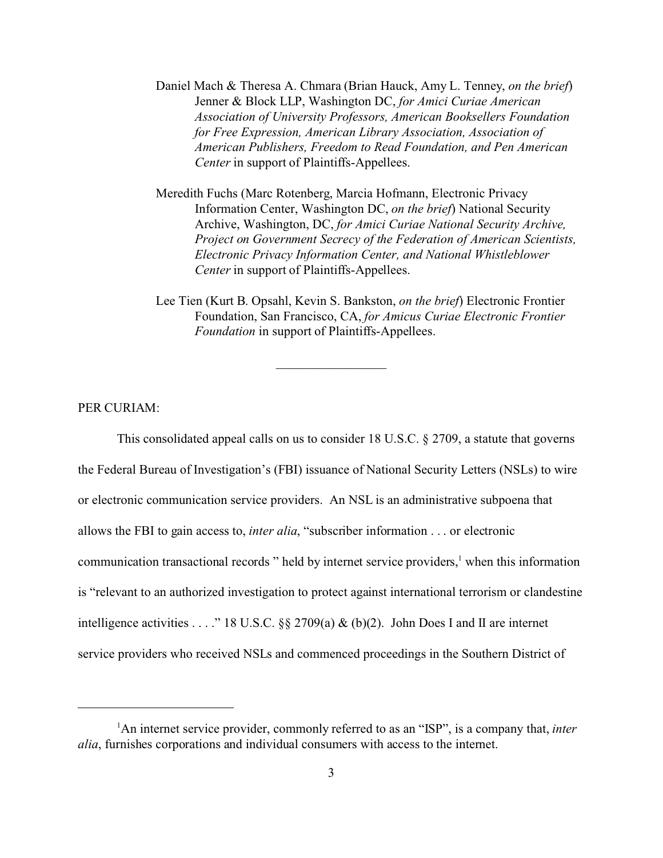- Daniel Mach & Theresa A. Chmara (Brian Hauck, Amy L. Tenney, *on the brief*) Jenner & Block LLP, Washington DC, *for Amici Curiae American Association of University Professors, American Booksellers Foundation for Free Expression, American Library Association, Association of American Publishers, Freedom to Read Foundation, and Pen American Center* in support of Plaintiffs-Appellees.
- Meredith Fuchs (Marc Rotenberg, Marcia Hofmann, Electronic Privacy Information Center, Washington DC, *on the brief*) National Security Archive, Washington, DC, *for Amici Curiae National Security Archive, Project on Government Secrecy of the Federation of American Scientists, Electronic Privacy Information Center, and National Whistleblower Center* in support of Plaintiffs-Appellees.
- Lee Tien (Kurt B. Opsahl, Kevin S. Bankston, *on the brief*) Electronic Frontier Foundation, San Francisco, CA, *for Amicus Curiae Electronic Frontier Foundation* in support of Plaintiffs-Appellees.

### PER CURIAM:

This consolidated appeal calls on us to consider 18 U.S.C. § 2709, a statute that governs the Federal Bureau of Investigation's (FBI) issuance of National Security Letters (NSLs) to wire or electronic communication service providers. An NSL is an administrative subpoena that allows the FBI to gain access to, *inter alia*, "subscriber information . . . or electronic communication transactional records " held by internet service providers,<sup>1</sup> when this information is "relevant to an authorized investigation to protect against international terrorism or clandestine intelligence activities . . . ." 18 U.S.C.  $\S\S 2709(a) \& (b)(2)$ . John Does I and II are internet service providers who received NSLs and commenced proceedings in the Southern District of

 $\mathcal{L}_\text{max}$  , where  $\mathcal{L}_\text{max}$ 

<sup>1</sup>An internet service provider, commonly referred to as an "ISP", is a company that, *inter alia*, furnishes corporations and individual consumers with access to the internet.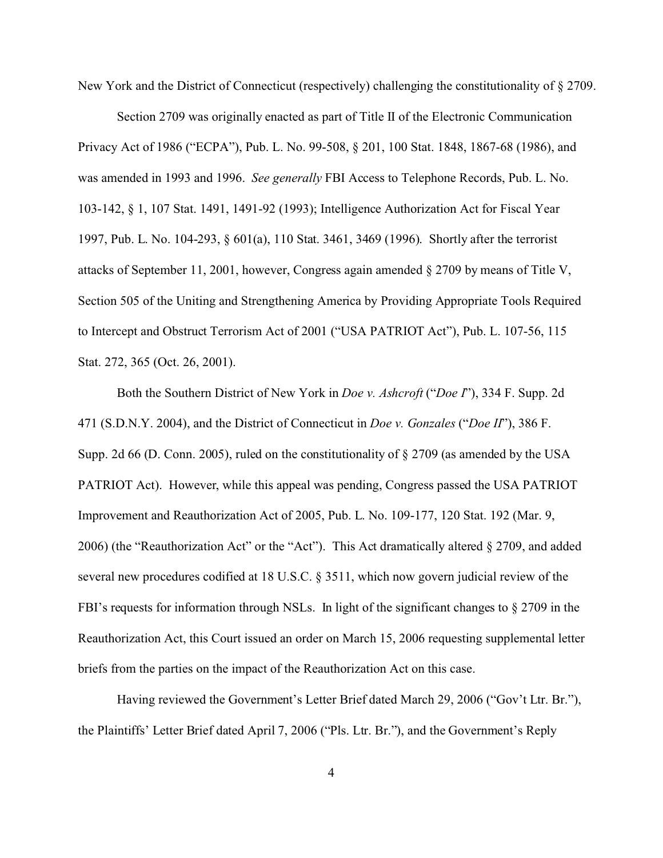New York and the District of Connecticut (respectively) challenging the constitutionality of § 2709.

Section 2709 was originally enacted as part of Title II of the Electronic Communication Privacy Act of 1986 ("ECPA"), Pub. L. No. 99-508, § 201, 100 Stat. 1848, 1867-68 (1986), and was amended in 1993 and 1996. *See generally* FBI Access to Telephone Records, Pub. L. No. 103-142, § 1, 107 Stat. 1491, 1491-92 (1993); Intelligence Authorization Act for Fiscal Year 1997, Pub. L. No. 104-293, § 601(a), 110 Stat. 3461, 3469 (1996). Shortly after the terrorist attacks of September 11, 2001, however, Congress again amended § 2709 by means of Title V, Section 505 of the Uniting and Strengthening America by Providing Appropriate Tools Required to Intercept and Obstruct Terrorism Act of 2001 ("USA PATRIOT Act"), Pub. L. 107-56, 115 Stat. 272, 365 (Oct. 26, 2001).

Both the Southern District of New York in *Doe v. Ashcroft* ("*Doe I*"), 334 F. Supp. 2d 471 (S.D.N.Y. 2004), and the District of Connecticut in *Doe v. Gonzales* ("*Doe II*"), 386 F. Supp. 2d 66 (D. Conn. 2005), ruled on the constitutionality of § 2709 (as amended by the USA PATRIOT Act). However, while this appeal was pending, Congress passed the USA PATRIOT Improvement and Reauthorization Act of 2005, Pub. L. No. 109-177, 120 Stat. 192 (Mar. 9, 2006) (the "Reauthorization Act" or the "Act"). This Act dramatically altered § 2709, and added several new procedures codified at 18 U.S.C. § 3511, which now govern judicial review of the FBI's requests for information through NSLs. In light of the significant changes to § 2709 in the Reauthorization Act, this Court issued an order on March 15, 2006 requesting supplemental letter briefs from the parties on the impact of the Reauthorization Act on this case.

Having reviewed the Government's Letter Brief dated March 29, 2006 ("Gov't Ltr. Br."), the Plaintiffs' Letter Brief dated April 7, 2006 ("Pls. Ltr. Br."), and the Government's Reply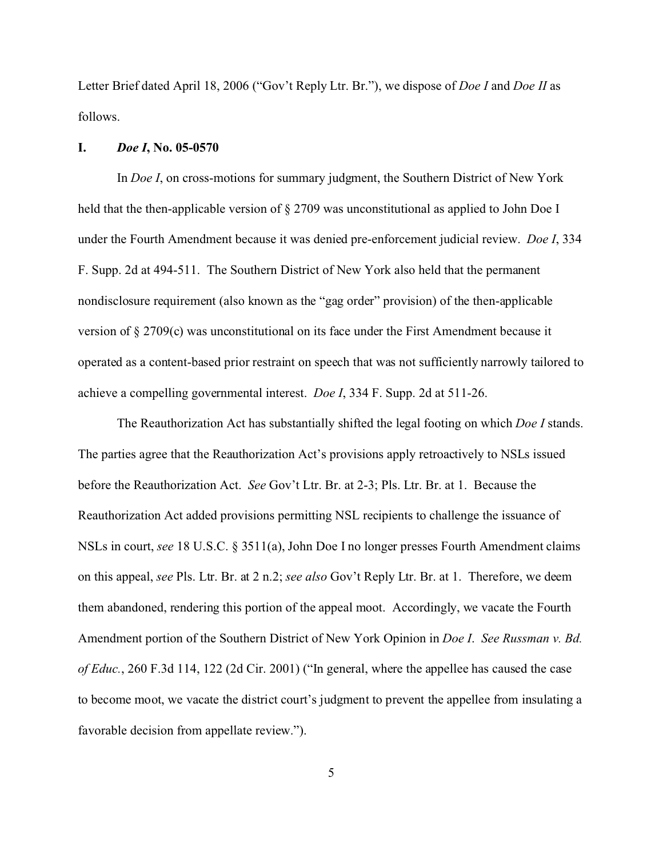Letter Brief dated April 18, 2006 ("Gov't Reply Ltr. Br."), we dispose of *Doe I* and *Doe II* as follows.

#### **I.** *Doe I***, No. 05-0570**

In *Doe I*, on cross-motions for summary judgment, the Southern District of New York held that the then-applicable version of § 2709 was unconstitutional as applied to John Doe I under the Fourth Amendment because it was denied pre-enforcement judicial review. *Doe I*, 334 F. Supp. 2d at 494-511. The Southern District of New York also held that the permanent nondisclosure requirement (also known as the "gag order" provision) of the then-applicable version of § 2709(c) was unconstitutional on its face under the First Amendment because it operated as a content-based prior restraint on speech that was not sufficiently narrowly tailored to achieve a compelling governmental interest. *Doe I*, 334 F. Supp. 2d at 511-26.

The Reauthorization Act has substantially shifted the legal footing on which *Doe I* stands. The parties agree that the Reauthorization Act's provisions apply retroactively to NSLs issued before the Reauthorization Act. *See* Gov't Ltr. Br. at 2-3; Pls. Ltr. Br. at 1. Because the Reauthorization Act added provisions permitting NSL recipients to challenge the issuance of NSLs in court, *see* 18 U.S.C. § 3511(a), John Doe I no longer presses Fourth Amendment claims on this appeal, *see* Pls. Ltr. Br. at 2 n.2; *see also* Gov't Reply Ltr. Br. at 1. Therefore, we deem them abandoned, rendering this portion of the appeal moot. Accordingly, we vacate the Fourth Amendment portion of the Southern District of New York Opinion in *Doe I*. *See Russman v. Bd. of Educ.*, 260 F.3d 114, 122 (2d Cir. 2001) ("In general, where the appellee has caused the case to become moot, we vacate the district court's judgment to prevent the appellee from insulating a favorable decision from appellate review.").

5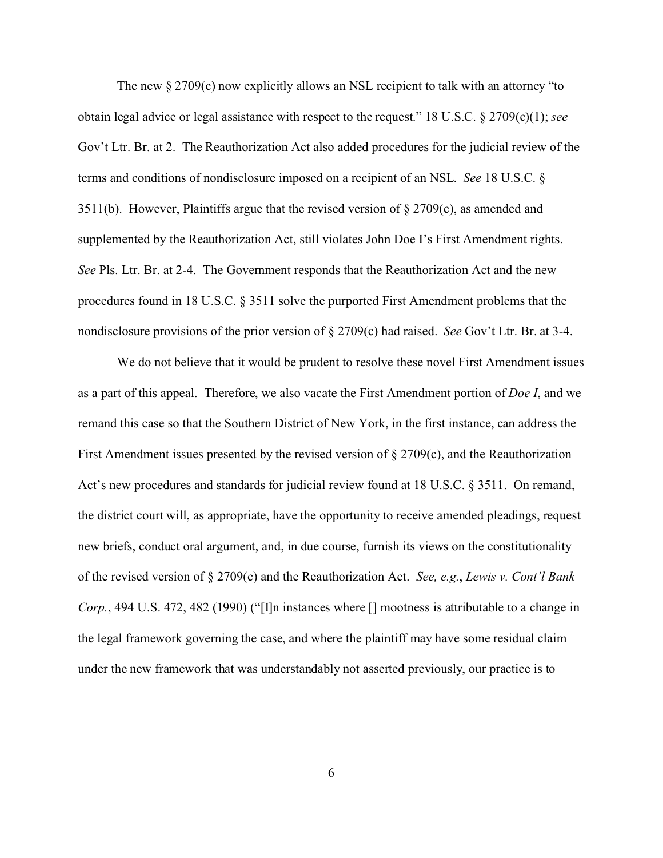The new  $\S 2709(c)$  now explicitly allows an NSL recipient to talk with an attorney "to obtain legal advice or legal assistance with respect to the request." 18 U.S.C. § 2709(c)(1); *see* Gov't Ltr. Br. at 2. The Reauthorization Act also added procedures for the judicial review of the terms and conditions of nondisclosure imposed on a recipient of an NSL. *See* 18 U.S.C. § 3511(b). However, Plaintiffs argue that the revised version of  $\S 2709(c)$ , as amended and supplemented by the Reauthorization Act, still violates John Doe I's First Amendment rights. *See* Pls. Ltr. Br. at 2-4. The Government responds that the Reauthorization Act and the new procedures found in 18 U.S.C. § 3511 solve the purported First Amendment problems that the nondisclosure provisions of the prior version of § 2709(c) had raised. *See* Gov't Ltr. Br. at 3-4.

We do not believe that it would be prudent to resolve these novel First Amendment issues as a part of this appeal. Therefore, we also vacate the First Amendment portion of *Doe I*, and we remand this case so that the Southern District of New York, in the first instance, can address the First Amendment issues presented by the revised version of  $\S 2709(c)$ , and the Reauthorization Act's new procedures and standards for judicial review found at 18 U.S.C. § 3511. On remand, the district court will, as appropriate, have the opportunity to receive amended pleadings, request new briefs, conduct oral argument, and, in due course, furnish its views on the constitutionality of the revised version of § 2709(c) and the Reauthorization Act. *See, e.g.*, *Lewis v. Cont'l Bank Corp.*, 494 U.S. 472, 482 (1990) ("[I]n instances where [] mootness is attributable to a change in the legal framework governing the case, and where the plaintiff may have some residual claim under the new framework that was understandably not asserted previously, our practice is to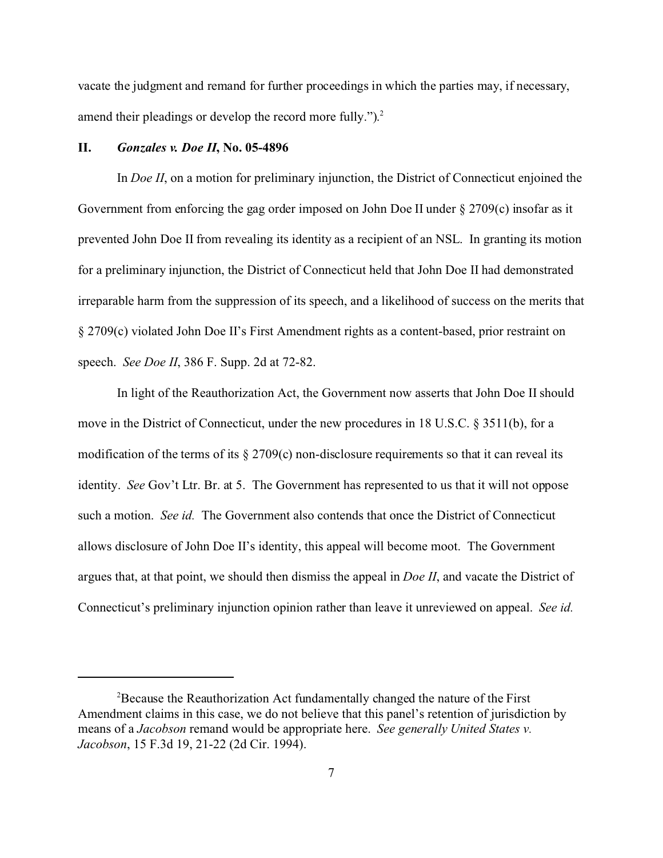vacate the judgment and remand for further proceedings in which the parties may, if necessary, amend their pleadings or develop the record more fully.").<sup>2</sup>

#### **II.** *Gonzales v. Doe II***, No. 05-4896**

In *Doe II*, on a motion for preliminary injunction, the District of Connecticut enjoined the Government from enforcing the gag order imposed on John Doe II under § 2709(c) insofar as it prevented John Doe II from revealing its identity as a recipient of an NSL. In granting its motion for a preliminary injunction, the District of Connecticut held that John Doe II had demonstrated irreparable harm from the suppression of its speech, and a likelihood of success on the merits that § 2709(c) violated John Doe II's First Amendment rights as a content-based, prior restraint on speech. *See Doe II*, 386 F. Supp. 2d at 72-82.

In light of the Reauthorization Act, the Government now asserts that John Doe II should move in the District of Connecticut, under the new procedures in 18 U.S.C. § 3511(b), for a modification of the terms of its  $\S 2709(c)$  non-disclosure requirements so that it can reveal its identity. *See* Gov't Ltr. Br. at 5. The Government has represented to us that it will not oppose such a motion. *See id.* The Government also contends that once the District of Connecticut allows disclosure of John Doe II's identity, this appeal will become moot. The Government argues that, at that point, we should then dismiss the appeal in *Doe II*, and vacate the District of Connecticut's preliminary injunction opinion rather than leave it unreviewed on appeal. *See id.*

<sup>2</sup>Because the Reauthorization Act fundamentally changed the nature of the First Amendment claims in this case, we do not believe that this panel's retention of jurisdiction by means of a *Jacobson* remand would be appropriate here. *See generally United States v. Jacobson*, 15 F.3d 19, 21-22 (2d Cir. 1994).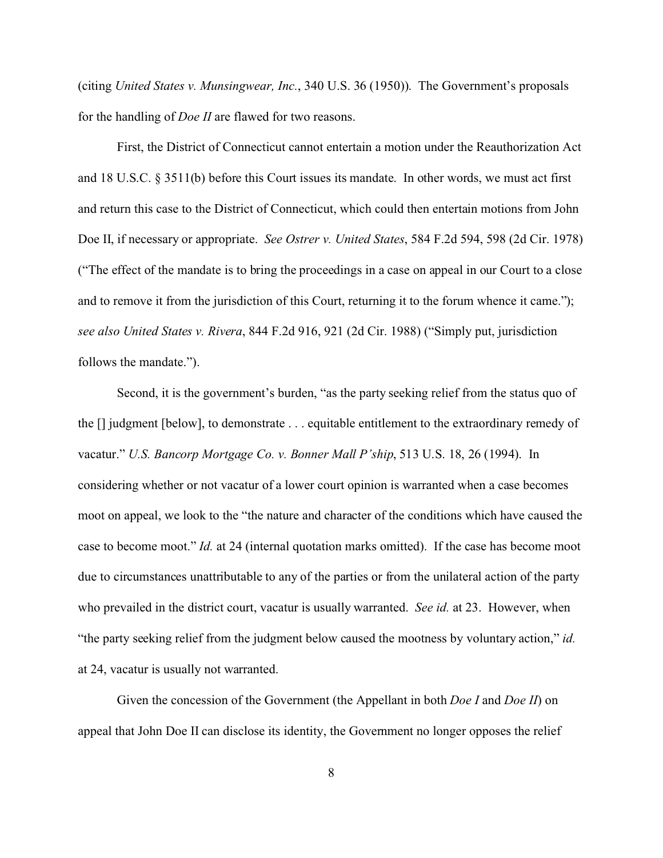(citing *United States v. Munsingwear, Inc.*, 340 U.S. 36 (1950)). The Government's proposals for the handling of *Doe II* are flawed for two reasons.

First, the District of Connecticut cannot entertain a motion under the Reauthorization Act and 18 U.S.C. § 3511(b) before this Court issues its mandate. In other words, we must act first and return this case to the District of Connecticut, which could then entertain motions from John Doe II, if necessary or appropriate. *See Ostrer v. United States*, 584 F.2d 594, 598 (2d Cir. 1978) ("The effect of the mandate is to bring the proceedings in a case on appeal in our Court to a close and to remove it from the jurisdiction of this Court, returning it to the forum whence it came."); *see also United States v. Rivera*, 844 F.2d 916, 921 (2d Cir. 1988) ("Simply put, jurisdiction follows the mandate.").

Second, it is the government's burden, "as the party seeking relief from the status quo of the [] judgment [below], to demonstrate . . . equitable entitlement to the extraordinary remedy of vacatur." *U.S. Bancorp Mortgage Co. v. Bonner Mall P'ship*, 513 U.S. 18, 26 (1994). In considering whether or not vacatur of a lower court opinion is warranted when a case becomes moot on appeal, we look to the "the nature and character of the conditions which have caused the case to become moot." *Id.* at 24 (internal quotation marks omitted). If the case has become moot due to circumstances unattributable to any of the parties or from the unilateral action of the party who prevailed in the district court, vacatur is usually warranted. *See id.* at 23. However, when "the party seeking relief from the judgment below caused the mootness by voluntary action," *id.* at 24, vacatur is usually not warranted.

Given the concession of the Government (the Appellant in both *Doe I* and *Doe II*) on appeal that John Doe II can disclose its identity, the Government no longer opposes the relief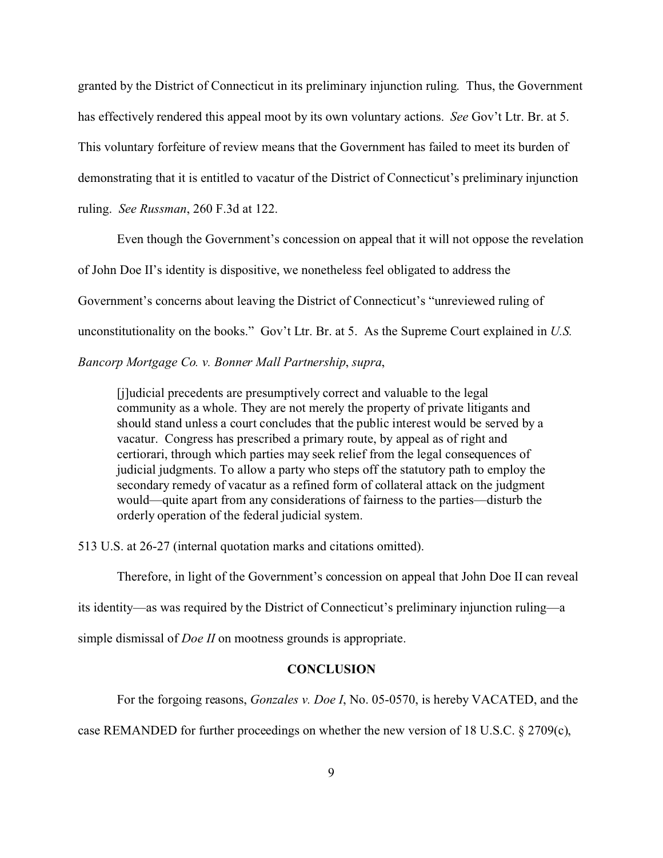granted by the District of Connecticut in its preliminary injunction ruling. Thus, the Government has effectively rendered this appeal moot by its own voluntary actions. *See* Gov't Ltr. Br. at 5. This voluntary forfeiture of review means that the Government has failed to meet its burden of demonstrating that it is entitled to vacatur of the District of Connecticut's preliminary injunction ruling. *See Russman*, 260 F.3d at 122.

Even though the Government's concession on appeal that it will not oppose the revelation of John Doe II's identity is dispositive, we nonetheless feel obligated to address the Government's concerns about leaving the District of Connecticut's "unreviewed ruling of unconstitutionality on the books." Gov't Ltr. Br. at 5. As the Supreme Court explained in *U.S.*

*Bancorp Mortgage Co. v. Bonner Mall Partnership*, *supra*,

[j]udicial precedents are presumptively correct and valuable to the legal community as a whole. They are not merely the property of private litigants and should stand unless a court concludes that the public interest would be served by a vacatur. Congress has prescribed a primary route, by appeal as of right and certiorari, through which parties may seek relief from the legal consequences of judicial judgments. To allow a party who steps off the statutory path to employ the secondary remedy of vacatur as a refined form of collateral attack on the judgment would—quite apart from any considerations of fairness to the parties—disturb the orderly operation of the federal judicial system.

513 U.S. at 26-27 (internal quotation marks and citations omitted).

Therefore, in light of the Government's concession on appeal that John Doe II can reveal

its identity—as was required by the District of Connecticut's preliminary injunction ruling—a

simple dismissal of *Doe II* on mootness grounds is appropriate.

## **CONCLUSION**

For the forgoing reasons, *Gonzales v. Doe I*, No. 05-0570, is hereby VACATED, and the

case REMANDED for further proceedings on whether the new version of 18 U.S.C. § 2709(c),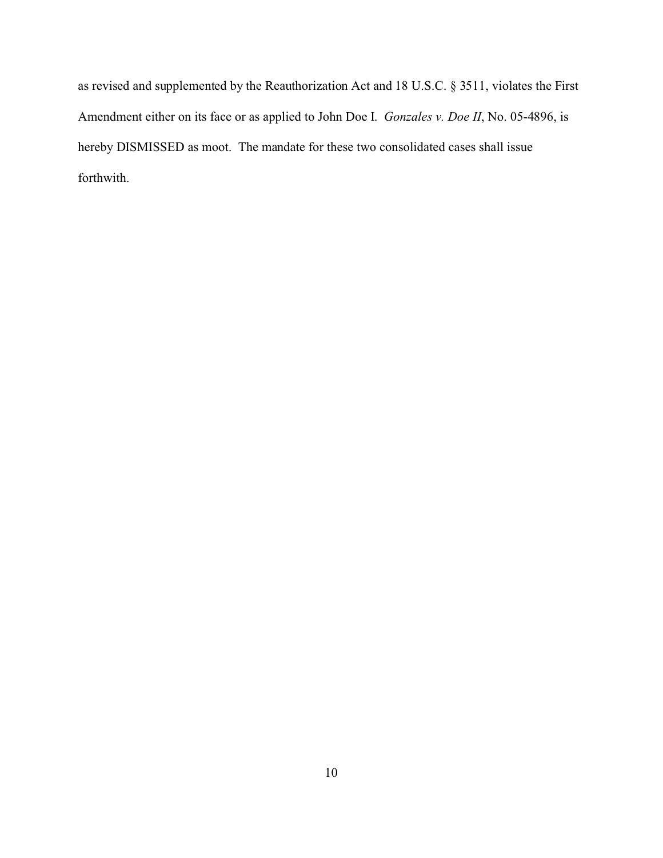as revised and supplemented by the Reauthorization Act and 18 U.S.C. § 3511, violates the First Amendment either on its face or as applied to John Doe I. *Gonzales v. Doe II*, No. 05-4896, is hereby DISMISSED as moot. The mandate for these two consolidated cases shall issue forthwith.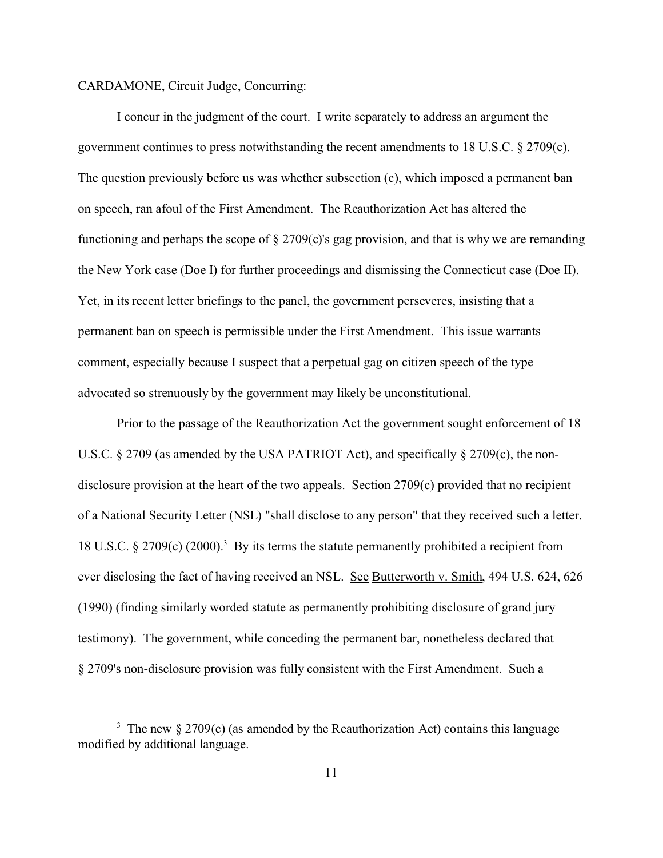## CARDAMONE, Circuit Judge, Concurring:

I concur in the judgment of the court. I write separately to address an argument the government continues to press notwithstanding the recent amendments to 18 U.S.C.  $\S 2709(c)$ . The question previously before us was whether subsection (c), which imposed a permanent ban on speech, ran afoul of the First Amendment. The Reauthorization Act has altered the functioning and perhaps the scope of § 2709(c)'s gag provision, and that is why we are remanding the New York case (Doe I) for further proceedings and dismissing the Connecticut case (Doe II). Yet, in its recent letter briefings to the panel, the government perseveres, insisting that a permanent ban on speech is permissible under the First Amendment. This issue warrants comment, especially because I suspect that a perpetual gag on citizen speech of the type advocated so strenuously by the government may likely be unconstitutional.

Prior to the passage of the Reauthorization Act the government sought enforcement of 18 U.S.C.  $\S 2709$  (as amended by the USA PATRIOT Act), and specifically  $\S 2709(c)$ , the nondisclosure provision at the heart of the two appeals. Section 2709(c) provided that no recipient of a National Security Letter (NSL) "shall disclose to any person" that they received such a letter. 18 U.S.C. § 2709 $(c)$  (2000).<sup>3</sup> By its terms the statute permanently prohibited a recipient from ever disclosing the fact of having received an NSL. See Butterworth v. Smith, 494 U.S. 624, 626 (1990) (finding similarly worded statute as permanently prohibiting disclosure of grand jury testimony). The government, while conceding the permanent bar, nonetheless declared that § 2709's non-disclosure provision was fully consistent with the First Amendment. Such a

<sup>&</sup>lt;sup>3</sup> The new  $\S 2709(c)$  (as amended by the Reauthorization Act) contains this language modified by additional language.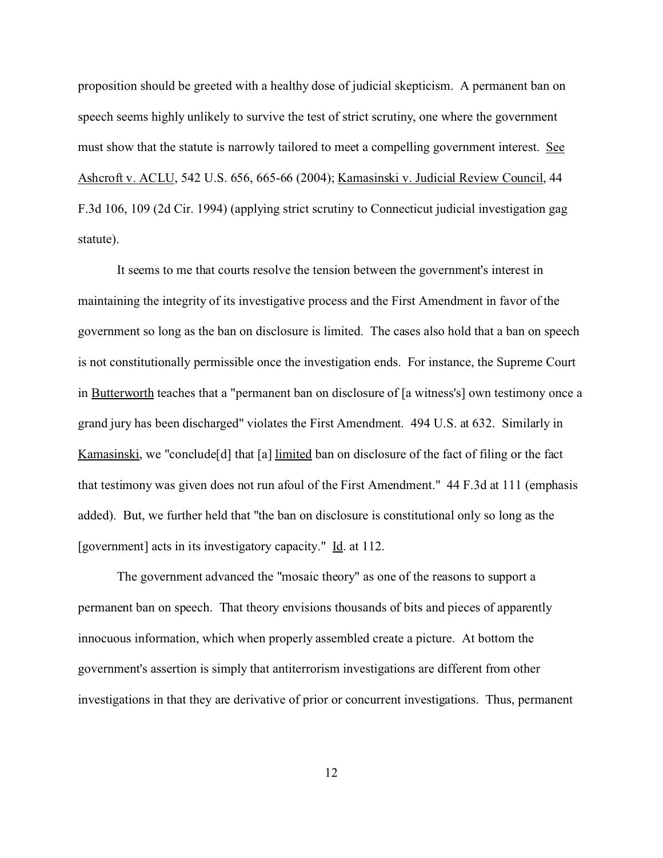proposition should be greeted with a healthy dose of judicial skepticism. A permanent ban on speech seems highly unlikely to survive the test of strict scrutiny, one where the government must show that the statute is narrowly tailored to meet a compelling government interest. See Ashcroft v. ACLU, 542 U.S. 656, 665-66 (2004); Kamasinski v. Judicial Review Council, 44 F.3d 106, 109 (2d Cir. 1994) (applying strict scrutiny to Connecticut judicial investigation gag statute).

It seems to me that courts resolve the tension between the government's interest in maintaining the integrity of its investigative process and the First Amendment in favor of the government so long as the ban on disclosure is limited. The cases also hold that a ban on speech is not constitutionally permissible once the investigation ends. For instance, the Supreme Court in Butterworth teaches that a "permanent ban on disclosure of [a witness's] own testimony once a grand jury has been discharged" violates the First Amendment. 494 U.S. at 632. Similarly in Kamasinski, we "conclude[d] that [a] limited ban on disclosure of the fact of filing or the fact that testimony was given does not run afoul of the First Amendment." 44 F.3d at 111 (emphasis added). But, we further held that "the ban on disclosure is constitutional only so long as the [government] acts in its investigatory capacity." Id. at 112.

The government advanced the "mosaic theory" as one of the reasons to support a permanent ban on speech. That theory envisions thousands of bits and pieces of apparently innocuous information, which when properly assembled create a picture. At bottom the government's assertion is simply that antiterrorism investigations are different from other investigations in that they are derivative of prior or concurrent investigations. Thus, permanent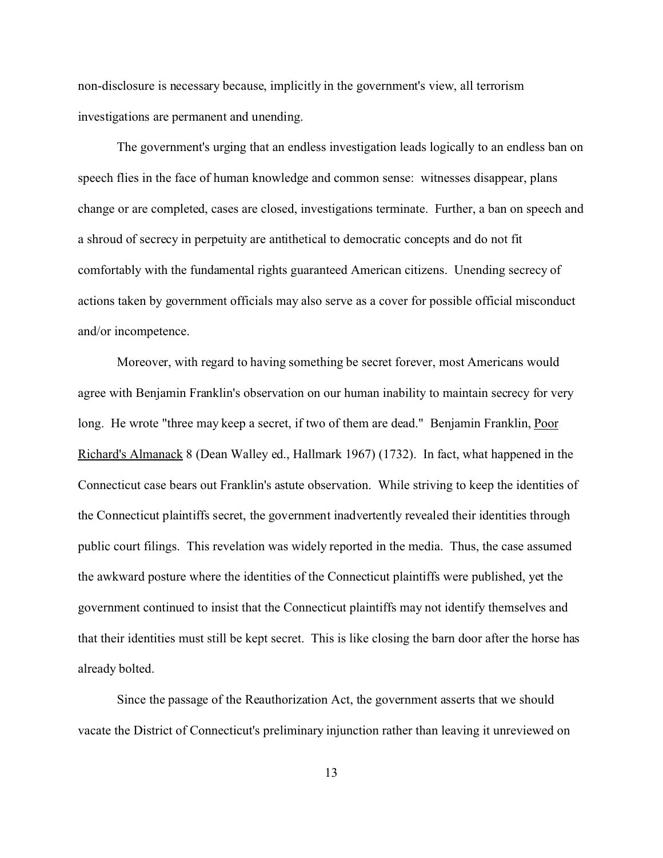non-disclosure is necessary because, implicitly in the government's view, all terrorism investigations are permanent and unending.

The government's urging that an endless investigation leads logically to an endless ban on speech flies in the face of human knowledge and common sense: witnesses disappear, plans change or are completed, cases are closed, investigations terminate. Further, a ban on speech and a shroud of secrecy in perpetuity are antithetical to democratic concepts and do not fit comfortably with the fundamental rights guaranteed American citizens. Unending secrecy of actions taken by government officials may also serve as a cover for possible official misconduct and/or incompetence.

Moreover, with regard to having something be secret forever, most Americans would agree with Benjamin Franklin's observation on our human inability to maintain secrecy for very long. He wrote "three may keep a secret, if two of them are dead." Benjamin Franklin, Poor Richard's Almanack 8 (Dean Walley ed., Hallmark 1967) (1732). In fact, what happened in the Connecticut case bears out Franklin's astute observation. While striving to keep the identities of the Connecticut plaintiffs secret, the government inadvertently revealed their identities through public court filings. This revelation was widely reported in the media. Thus, the case assumed the awkward posture where the identities of the Connecticut plaintiffs were published, yet the government continued to insist that the Connecticut plaintiffs may not identify themselves and that their identities must still be kept secret. This is like closing the barn door after the horse has already bolted.

Since the passage of the Reauthorization Act, the government asserts that we should vacate the District of Connecticut's preliminary injunction rather than leaving it unreviewed on